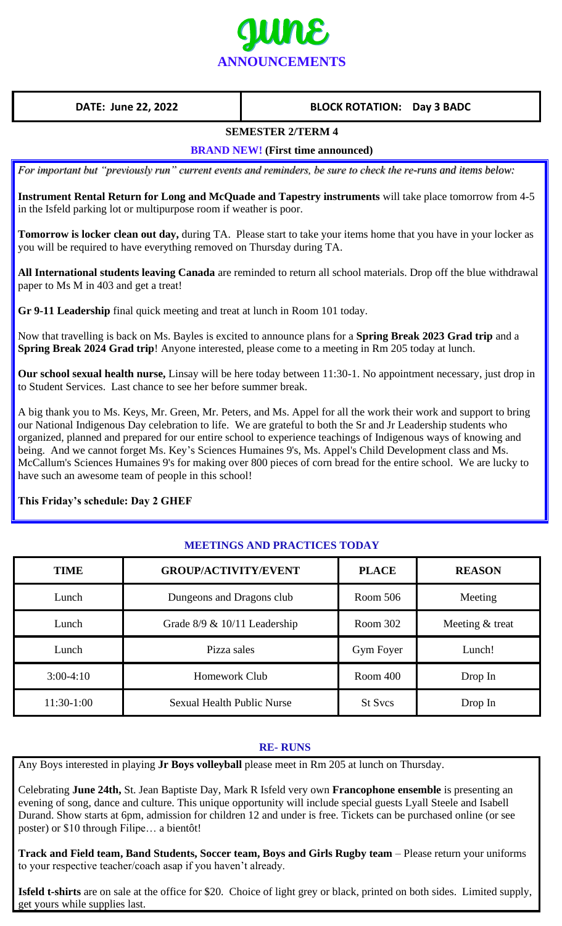

# **DATE: June 22, 2022 BLOCK ROTATION: Day 3 BADC**

# **SEMESTER 2/TERM 4**

#### **BRAND NEW! (First time announced)**

*For important but "previously run" current events and reminders, be sure to check the re-runs and items below:*

**Instrument Rental Return for Long and McQuade and Tapestry instruments** will take place tomorrow from 4-5 in the Isfeld parking lot or multipurpose room if weather is poor.

**Tomorrow is locker clean out day,** during TA. Please start to take your items home that you have in your locker as you will be required to have everything removed on Thursday during TA.

**All International students leaving Canada** are reminded to return all school materials. Drop off the blue withdrawal paper to Ms M in 403 and get a treat!

**Gr 9-11 Leadership** final quick meeting and treat at lunch in Room 101 today.

Now that travelling is back on Ms. Bayles is excited to announce plans for a **Spring Break 2023 Grad trip** and a **Spring Break 2024 Grad trip**! Anyone interested, please come to a meeting in Rm 205 today at lunch.

**Our school sexual health nurse,** Linsay will be here today between 11:30-1. No appointment necessary, just drop in to Student Services. Last chance to see her before summer break.

A big thank you to Ms. Keys, Mr. Green, Mr. Peters, and Ms. Appel for all the work their work and support to bring our National Indigenous Day celebration to life. We are grateful to both the Sr and Jr Leadership students who organized, planned and prepared for our entire school to experience teachings of Indigenous ways of knowing and being. And we cannot forget Ms. Key's Sciences Humaines 9's, Ms. Appel's Child Development class and Ms. McCallum's Sciences Humaines 9's for making over 800 pieces of corn bread for the entire school. We are lucky to have such an awesome team of people in this school!

# **This Friday's schedule: Day 2 GHEF**

# **MEETINGS AND PRACTICES TODAY**

| <b>TIME</b>  | <b>GROUP/ACTIVITY/EVENT</b>       | <b>PLACE</b>   | <b>REASON</b>   |
|--------------|-----------------------------------|----------------|-----------------|
| Lunch        | Dungeons and Dragons club         | Room 506       | Meeting         |
| Lunch        | Grade $8/9 \& 10/11$ Leadership   | Room 302       | Meeting & treat |
| Lunch        | Pizza sales                       | Gym Foyer      | Lunch!          |
| $3:00-4:10$  | <b>Homework Club</b>              | Room 400       | Drop In         |
| $11:30-1:00$ | <b>Sexual Health Public Nurse</b> | <b>St Sycs</b> | Drop In         |

#### **RE- RUNS**

Any Boys interested in playing **Jr Boys volleyball** please meet in Rm 205 at lunch on Thursday.

Celebrating **June 24th,** St. Jean Baptiste Day, Mark R Isfeld very own **Francophone ensemble** is presenting an evening of song, dance and culture. This unique opportunity will include special guests Lyall Steele and Isabell Durand. Show starts at 6pm, admission for children 12 and under is free. Tickets can be purchased online (or see poster) or \$10 through Filipe… a bientôt!

**Track and Field team, Band Students, Soccer team, Boys and Girls Rugby team** – Please return your uniforms to your respective teacher/coach asap if you haven't already.

**Isfeld t-shirts** are on sale at the office for \$20. Choice of light grey or black, printed on both sides. Limited supply, get yours while supplies last.